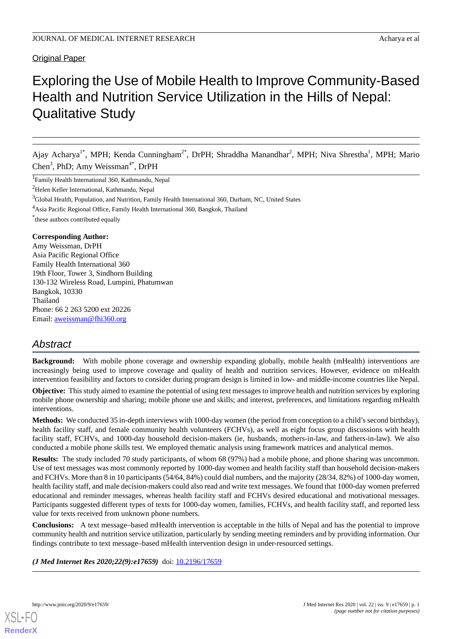# Original Paper

# Exploring the Use of Mobile Health to Improve Community-Based Health and Nutrition Service Utilization in the Hills of Nepal: Qualitative Study

Ajay Acharya<sup>1\*</sup>, MPH; Kenda Cunningham<sup>2\*</sup>, DrPH; Shraddha Manandhar<sup>2</sup>, MPH; Niva Shrestha<sup>1</sup>, MPH; Mario Chen<sup>3</sup>, PhD; Amy Weissman<sup>4\*</sup>, DrPH

<sup>1</sup>Family Health International 360, Kathmandu, Nepal

<sup>2</sup>Helen Keller International, Kathmandu, Nepal

<sup>3</sup>Global Health, Population, and Nutrition, Family Health International 360, Durham, NC, United States

<sup>4</sup>Asia Pacific Regional Office, Family Health International 360, Bangkok, Thailand

\* these authors contributed equally

### **Corresponding Author:**

Amy Weissman, DrPH Asia Pacific Regional Office Family Health International 360 19th Floor, Tower 3, Sindhorn Building 130-132 Wireless Road, Lumpini, Phatumwan Bangkok, 10330 Thailand Phone: 66 2 263 5200 ext 20226 Email: [aweissman@fhi360.org](mailto:aweissman@fhi360.org)

# *Abstract*

**Background:** With mobile phone coverage and ownership expanding globally, mobile health (mHealth) interventions are increasingly being used to improve coverage and quality of health and nutrition services. However, evidence on mHealth intervention feasibility and factors to consider during program design is limited in low- and middle-income countries like Nepal.

**Objective:** This study aimed to examine the potential of using text messages to improve health and nutrition services by exploring mobile phone ownership and sharing; mobile phone use and skills; and interest, preferences, and limitations regarding mHealth interventions.

**Methods:** We conducted 35 in-depth interviews with 1000-day women (the period from conception to a child's second birthday), health facility staff, and female community health volunteers (FCHVs), as well as eight focus group discussions with health facility staff, FCHVs, and 1000-day household decision-makers (ie, husbands, mothers-in-law, and fathers-in-law). We also conducted a mobile phone skills test. We employed thematic analysis using framework matrices and analytical memos.

**Results:** The study included 70 study participants, of whom 68 (97%) had a mobile phone, and phone sharing was uncommon. Use of text messages was most commonly reported by 1000-day women and health facility staff than household decision-makers and FCHVs. More than 8 in 10 participants (54/64, 84%) could dial numbers, and the majority (28/34, 82%) of 1000-day women, health facility staff, and male decision-makers could also read and write text messages. We found that 1000-day women preferred educational and reminder messages, whereas health facility staff and FCHVs desired educational and motivational messages. Participants suggested different types of texts for 1000-day women, families, FCHVs, and health facility staff, and reported less value for texts received from unknown phone numbers.

**Conclusions:** A text message–based mHealth intervention is acceptable in the hills of Nepal and has the potential to improve community health and nutrition service utilization, particularly by sending meeting reminders and by providing information. Our findings contribute to text message–based mHealth intervention design in under-resourced settings.

*(J Med Internet Res 2020;22(9):e17659)* doi: [10.2196/17659](http://dx.doi.org/10.2196/17659)

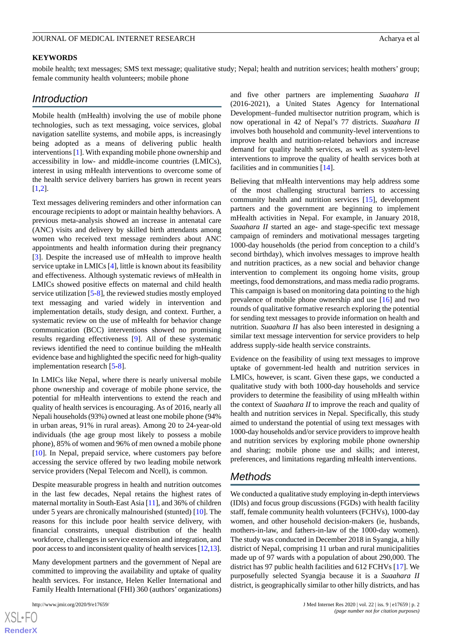#### **KEYWORDS**

mobile health; text messages; SMS text message; qualitative study; Nepal; health and nutrition services; health mothers' group; female community health volunteers; mobile phone

# *Introduction*

Mobile health (mHealth) involving the use of mobile phone technologies, such as text messaging, voice services, global navigation satellite systems, and mobile apps, is increasingly being adopted as a means of delivering public health interventions [[1\]](#page-6-0). With expanding mobile phone ownership and accessibility in low- and middle-income countries (LMICs), interest in using mHealth interventions to overcome some of the health service delivery barriers has grown in recent years [[1](#page-6-0)[,2](#page-7-0)].

Text messages delivering reminders and other information can encourage recipients to adopt or maintain healthy behaviors. A previous meta-analysis showed an increase in antenatal care (ANC) visits and delivery by skilled birth attendants among women who received text message reminders about ANC appointments and health information during their pregnancy [[3\]](#page-7-1). Despite the increased use of mHealth to improve health service uptake in LMICs [\[4](#page-7-2)], little is known about its feasibility and effectiveness. Although systematic reviews of mHealth in LMICs showed positive effects on maternal and child health service utilization [\[5](#page-7-3)[-8](#page-7-4)], the reviewed studies mostly employed text messaging and varied widely in intervention and implementation details, study design, and context. Further, a systematic review on the use of mHealth for behavior change communication (BCC) interventions showed no promising results regarding effectiveness [[9\]](#page-7-5). All of these systematic reviews identified the need to continue building the mHealth evidence base and highlighted the specific need for high-quality implementation research [[5](#page-7-3)[-8](#page-7-4)].

In LMICs like Nepal, where there is nearly universal mobile phone ownership and coverage of mobile phone service, the potential for mHealth interventions to extend the reach and quality of health services is encouraging. As of 2016, nearly all Nepali households (93%) owned at least one mobile phone (94% in urban areas, 91% in rural areas). Among 20 to 24-year-old individuals (the age group most likely to possess a mobile phone), 85% of women and 96% of men owned a mobile phone [[10\]](#page-7-6). In Nepal, prepaid service, where customers pay before accessing the service offered by two leading mobile network service providers (Nepal Telecom and Ncell), is common.

Despite measurable progress in health and nutrition outcomes in the last few decades, Nepal retains the highest rates of maternal mortality in South-East Asia [\[11](#page-7-7)], and 36% of children under 5 years are chronically malnourished (stunted) [[10\]](#page-7-6). The reasons for this include poor health service delivery, with financial constraints, unequal distribution of the health workforce, challenges in service extension and integration, and poor access to and inconsistent quality of health services [\[12](#page-7-8)[,13\]](#page-7-9).

Many development partners and the government of Nepal are committed to improving the availability and uptake of quality health services. For instance, Helen Keller International and Family Health International (FHI) 360 (authors' organizations)

and five other partners are implementing *Suaahara II* (2016-2021), a United States Agency for International Development–funded multisector nutrition program, which is now operational in 42 of Nepal's 77 districts. *Suaahara II* involves both household and community-level interventions to improve health and nutrition-related behaviors and increase demand for quality health services, as well as system-level interventions to improve the quality of health services both at facilities and in communities [\[14](#page-7-10)].

Believing that mHealth interventions may help address some of the most challenging structural barriers to accessing community health and nutrition services [\[15](#page-7-11)], development partners and the government are beginning to implement mHealth activities in Nepal. For example, in January 2018, *Suaahara II* started an age- and stage-specific text message campaign of reminders and motivational messages targeting 1000-day households (the period from conception to a child's second birthday), which involves messages to improve health and nutrition practices, as a new social and behavior change intervention to complement its ongoing home visits, group meetings, food demonstrations, and mass media radio programs. This campaign is based on monitoring data pointing to the high prevalence of mobile phone ownership and use [\[16](#page-7-12)] and two rounds of qualitative formative research exploring the potential for sending text messages to provide information on health and nutrition. *Suaahara II* has also been interested in designing a similar text message intervention for service providers to help address supply-side health service constraints.

Evidence on the feasibility of using text messages to improve uptake of government-led health and nutrition services in LMICs, however, is scant. Given these gaps, we conducted a qualitative study with both 1000-day households and service providers to determine the feasibility of using mHealth within the context of *Suaahara II* to improve the reach and quality of health and nutrition services in Nepal. Specifically, this study aimed to understand the potential of using text messages with 1000-day households and/or service providers to improve health and nutrition services by exploring mobile phone ownership and sharing; mobile phone use and skills; and interest, preferences, and limitations regarding mHealth interventions.

# *Methods*

We conducted a qualitative study employing in-depth interviews (IDIs) and focus group discussions (FGDs) with health facility staff, female community health volunteers (FCHVs), 1000-day women, and other household decision-makers (ie, husbands, mothers-in-law, and fathers-in-law of the 1000-day women). The study was conducted in December 2018 in Syangja, a hilly district of Nepal, comprising 11 urban and rural municipalities made up of 97 wards with a population of about 290,000. The district has 97 public health facilities and 612 FCHVs [[17\]](#page-7-13). We purposefully selected Syangja because it is a *Suaahara II* district, is geographically similar to other hilly districts, and has

```
XS-FO
RenderX
```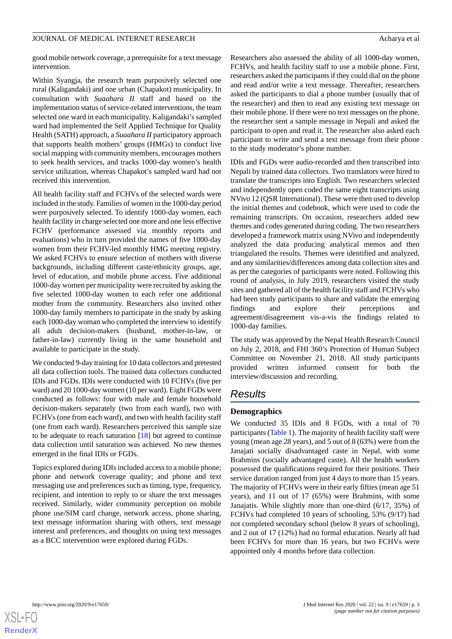good mobile network coverage, a prerequisite for a text message intervention.

Within Syangja, the research team purposively selected one rural (Kaligandaki) and one urban (Chapakot) municipality. In consultation with *Suaahara II* staff and based on the implementation status of service-related interventions, the team selected one ward in each municipality. Kaligandaki's sampled ward had implemented the Self Applied Technique for Quality Health (SATH) approach, a *Suaahara II* participatory approach that supports health mothers' groups (HMGs) to conduct live social mapping with community members, encourages mothers to seek health services, and tracks 1000-day women's health service utilization, whereas Chapakot's sampled ward had not received this intervention.

All health facility staff and FCHVs of the selected wards were included in the study. Families of women in the 1000-day period were purposively selected. To identify 1000-day women, each health facility in charge selected one more and one less effective FCHV (performance assessed via monthly reports and evaluations) who in turn provided the names of five 1000-day women from their FCHV-led monthly HMG meeting registry. We asked FCHVs to ensure selection of mothers with diverse backgrounds, including different caste/ethnicity groups, age, level of education, and mobile phone access. Five additional 1000-day women per municipality were recruited by asking the five selected 1000-day women to each refer one additional mother from the community. Researchers also invited other 1000-day family members to participate in the study by asking each 1000-day woman who completed the interview to identify all adult decision-makers (husband, mother-in-law, or father-in-law) currently living in the same household and available to participate in the study.

We conducted 9-day training for 10 data collectors and pretested all data collection tools. The trained data collectors conducted IDIs and FGDs. IDIs were conducted with 10 FCHVs (five per ward) and 20 1000-day women (10 per ward). Eight FGDs were conducted as follows: four with male and female household decision-makers separately (two from each ward), two with FCHVs (one from each ward), and two with health facility staff (one from each ward). Researchers perceived this sample size to be adequate to reach saturation [\[18](#page-7-14)] but agreed to continue data collection until saturation was achieved. No new themes emerged in the final IDIs or FGDs.

Topics explored during IDIs included access to a mobile phone; phone and network coverage quality; and phone and text messaging use and preferences such as timing, type, frequency, recipient, and intention to reply to or share the text messages received. Similarly, wider community perception on mobile phone use/SIM card change, network access, phone sharing, text message information sharing with others, text message interest and preferences, and thoughts on using text messages as a BCC intervention were explored during FGDs.

Researchers also assessed the ability of all 1000-day women, FCHVs, and health facility staff to use a mobile phone. First, researchers asked the participants if they could dial on the phone and read and/or write a text message. Thereafter, researchers asked the participants to dial a phone number (usually that of the researcher) and then to read any existing text message on their mobile phone. If there were no text messages on the phone, the researcher sent a sample message in Nepali and asked the participant to open and read it. The researcher also asked each participant to write and send a text message from their phone to the study moderator's phone number.

IDIs and FGDs were audio-recorded and then transcribed into Nepali by trained data collectors. Two translators were hired to translate the transcripts into English. Two researchers selected and independently open coded the same eight transcripts using NVivo 12 (QSR International). These were then used to develop the initial themes and codebook, which were used to code the remaining transcripts. On occasion, researchers added new themes and codes generated during coding. The two researchers developed a framework matrix using NVivo and independently analyzed the data producing analytical memos and then triangulated the results. Themes were identified and analyzed, and any similarities/differences among data collection sites and as per the categories of participants were noted. Following this round of analysis, in July 2019, researchers visited the study sites and gathered all of the health facility staff and FCHVs who had been study participants to share and validate the emerging findings and explore their perceptions and agreement/disagreement vis-a-vis the findings related to 1000-day families.

The study was approved by the Nepal Health Research Council on July 2, 2018, and FHI 360's Protection of Human Subject Committee on November 21, 2018. All study participants provided written informed consent for both the interview/discussion and recording.

# *Results*

# **Demographics**

We conducted 35 IDIs and 8 FGDs, with a total of 70 participants ([Table 1\)](#page-3-0). The majority of health facility staff were young (mean age 28 years), and 5 out of 8 (63%) were from the Janajati socially disadvantaged caste in Nepal, with some Brahmins (socially advantaged caste). All the health workers possessed the qualifications required for their positions. Their service duration ranged from just 4 days to more than 15 years. The majority of FCHVs were in their early fifties (mean age 51 years), and 11 out of 17 (65%) were Brahmins, with some Janajatis. While slightly more than one-third (6/17, 35%) of FCHVs had completed 10 years of schooling, 53% (9/17) had not completed secondary school (below 8 years of schooling), and 2 out of 17 (12%) had no formal education. Nearly all had been FCHVs for more than 16 years, but two FCHVs were appointed only 4 months before data collection.

**[RenderX](http://www.renderx.com/)**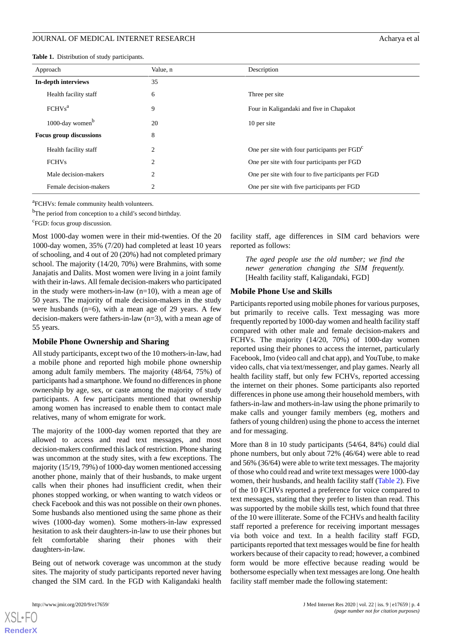<span id="page-3-0"></span>**Table 1.** Distribution of study participants.

| Approach                       | Value, n       | Description                                         |
|--------------------------------|----------------|-----------------------------------------------------|
| In-depth interviews            | 35             |                                                     |
| Health facility staff          | 6              | Three per site                                      |
| FCHVs <sup>a</sup>             | 9              | Four in Kaligandaki and five in Chapakot            |
| 1000-day women <sup>b</sup>    | 20             | 10 per site                                         |
| <b>Focus group discussions</b> | 8              |                                                     |
| Health facility staff          | $\overline{2}$ | One per site with four participants per $FGD^c$     |
| <b>FCHVs</b>                   | $\overline{c}$ | One per site with four participants per FGD         |
| Male decision-makers           | $\overline{2}$ | One per site with four to five participants per FGD |
| Female decision-makers         | $\overline{2}$ | One per site with five participants per FGD         |

<sup>a</sup>FCHVs: female community health volunteers.

<sup>b</sup>The period from conception to a child's second birthday.

<sup>c</sup>FGD: focus group discussion.

Most 1000-day women were in their mid-twenties. Of the 20 1000-day women, 35% (7/20) had completed at least 10 years of schooling, and 4 out of 20 (20%) had not completed primary school. The majority (14/20, 70%) were Brahmins, with some Janajatis and Dalits. Most women were living in a joint family with their in-laws. All female decision-makers who participated in the study were mothers-in-law (n=10), with a mean age of 50 years. The majority of male decision-makers in the study were husbands (n=6), with a mean age of 29 years. A few decision-makers were fathers-in-law (n=3), with a mean age of 55 years.

#### **Mobile Phone Ownership and Sharing**

All study participants, except two of the 10 mothers-in-law, had a mobile phone and reported high mobile phone ownership among adult family members. The majority (48/64, 75%) of participants had a smartphone. We found no differences in phone ownership by age, sex, or caste among the majority of study participants. A few participants mentioned that ownership among women has increased to enable them to contact male relatives, many of whom emigrate for work.

The majority of the 1000-day women reported that they are allowed to access and read text messages, and most decision-makers confirmed this lack of restriction. Phone sharing was uncommon at the study sites, with a few exceptions. The majority (15/19, 79%) of 1000-day women mentioned accessing another phone, mainly that of their husbands, to make urgent calls when their phones had insufficient credit, when their phones stopped working, or when wanting to watch videos or check Facebook and this was not possible on their own phones. Some husbands also mentioned using the same phone as their wives (1000-day women). Some mothers-in-law expressed hesitation to ask their daughters-in-law to use their phones but felt comfortable sharing their phones with their daughters-in-law.

Being out of network coverage was uncommon at the study sites. The majority of study participants reported never having changed the SIM card. In the FGD with Kaligandaki health

[XSL](http://www.w3.org/Style/XSL)•FO **[RenderX](http://www.renderx.com/)**

facility staff, age differences in SIM card behaviors were reported as follows:

*The aged people use the old number; we find the newer generation changing the SIM frequently.* [Health facility staff, Kaligandaki, FGD]

#### **Mobile Phone Use and Skills**

Participants reported using mobile phones for various purposes, but primarily to receive calls. Text messaging was more frequently reported by 1000-day women and health facility staff compared with other male and female decision-makers and FCHVs. The majority (14/20, 70%) of 1000-day women reported using their phones to access the internet, particularly Facebook, Imo (video call and chat app), and YouTube, to make video calls, chat via text/messenger, and play games. Nearly all health facility staff, but only few FCHVs, reported accessing the internet on their phones. Some participants also reported differences in phone use among their household members, with fathers-in-law and mothers-in-law using the phone primarily to make calls and younger family members (eg, mothers and fathers of young children) using the phone to access the internet and for messaging.

More than 8 in 10 study participants (54/64, 84%) could dial phone numbers, but only about 72% (46/64) were able to read and 56% (36/64) were able to write text messages. The majority of those who could read and write text messages were 1000-day women, their husbands, and health facility staff ([Table 2](#page-4-0)). Five of the 10 FCHVs reported a preference for voice compared to text messages, stating that they prefer to listen than read. This was supported by the mobile skills test, which found that three of the 10 were illiterate. Some of the FCHVs and health facility staff reported a preference for receiving important messages via both voice and text. In a health facility staff FGD, participants reported that text messages would be fine for health workers because of their capacity to read; however, a combined form would be more effective because reading would be bothersome especially when text messages are long. One health facility staff member made the following statement: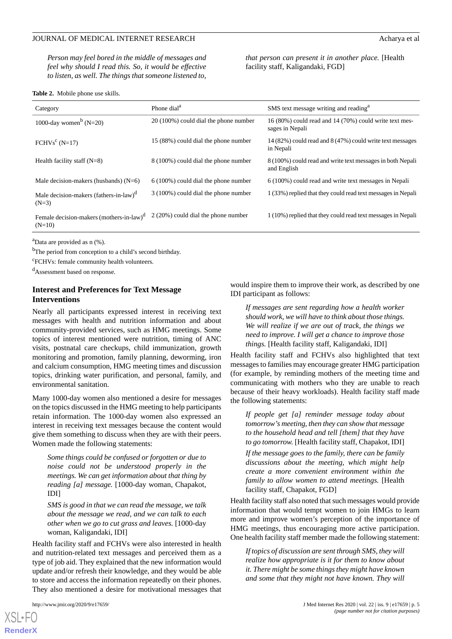*Person may feel bored in the middle of messages and feel why should I read this. So, it would be effective to listen, as well. The things that someone listened to,*

#### <span id="page-4-0"></span>**Table 2.** Mobile phone use skills.

*that person can present it in another place.* [Health facility staff, Kaligandaki, FGD]

| Category                                                         | Phone dial <sup>a</sup>                | SMS text message writing and reading <sup>a</sup>                         |
|------------------------------------------------------------------|----------------------------------------|---------------------------------------------------------------------------|
| 1000-day women <sup>b</sup> (N=20)                               | 20 (100%) could dial the phone number  | 16 (80%) could read and 14 (70%) could write text mes-<br>sages in Nepali |
| $FCHVsc (N=17)$                                                  | 15 (88%) could dial the phone number   | 14 (82%) could read and 8 (47%) could write text messages<br>in Nepali    |
| Health facility staff $(N=8)$                                    | 8 (100%) could dial the phone number   | 8 (100%) could read and write text messages in both Nepali<br>and English |
| Male decision-makers (husbands) $(N=6)$                          | $6(100\%)$ could dial the phone number | 6 (100%) could read and write text messages in Nepali                     |
| Male decision-makers (fathers-in-law) <sup>d</sup><br>$(N=3)$    | 3 (100%) could dial the phone number   | 1 (33%) replied that they could read text messages in Nepali              |
| Female decision-makers (mothers-in-law) <sup>d</sup><br>$(N=10)$ | 2 (20%) could dial the phone number    | 1 (10%) replied that they could read text messages in Nepali              |

<sup>a</sup>Data are provided as n (%).

<sup>b</sup>The period from conception to a child's second birthday.

c FCHVs: female community health volunteers.

<sup>d</sup>Assessment based on response.

# **Interest and Preferences for Text Message Interventions**

Nearly all participants expressed interest in receiving text messages with health and nutrition information and about community-provided services, such as HMG meetings. Some topics of interest mentioned were nutrition, timing of ANC visits, postnatal care checkups, child immunization, growth monitoring and promotion, family planning, deworming, iron and calcium consumption, HMG meeting times and discussion topics, drinking water purification, and personal, family, and environmental sanitation.

Many 1000-day women also mentioned a desire for messages on the topics discussed in the HMG meeting to help participants retain information. The 1000-day women also expressed an interest in receiving text messages because the content would give them something to discuss when they are with their peers. Women made the following statements:

*Some things could be confused or forgotten or due to noise could not be understood properly in the meetings. We can get information about that thing by reading [a] message.* [1000-day woman, Chapakot, IDI]

*SMS is good in that we can read the message, we talk about the message we read, and we can talk to each other when we go to cut grass and leaves.* [1000-day woman, Kaligandaki, IDI]

Health facility staff and FCHVs were also interested in health and nutrition-related text messages and perceived them as a type of job aid. They explained that the new information would update and/or refresh their knowledge, and they would be able to store and access the information repeatedly on their phones. They also mentioned a desire for motivational messages that

[XSL](http://www.w3.org/Style/XSL)•FO **[RenderX](http://www.renderx.com/)**

would inspire them to improve their work, as described by one IDI participant as follows:

*If messages are sent regarding how a health worker should work, we will have to think about those things. We will realize if we are out of track, the things we need to improve. I will get a chance to improve those things.* [Health facility staff, Kaligandaki, IDI]

Health facility staff and FCHVs also highlighted that text messages to families may encourage greater HMG participation (for example, by reminding mothers of the meeting time and communicating with mothers who they are unable to reach because of their heavy workloads). Health facility staff made the following statements:

*If people get [a] reminder message today about tomorrow's meeting, then they can show that message to the household head and tell [them] that they have to go tomorrow.* [Health facility staff, Chapakot, IDI]

*If the message goes to the family, there can be family discussions about the meeting, which might help create a more convenient environment within the family to allow women to attend meetings.* [Health facility staff, Chapakot, FGD]

Health facility staff also noted that such messages would provide information that would tempt women to join HMGs to learn more and improve women's perception of the importance of HMG meetings, thus encouraging more active participation. One health facility staff member made the following statement:

*If topics of discussion are sent through SMS, they will realize how appropriate is it for them to know about it. There might be some things they might have known and some that they might not have known. They will*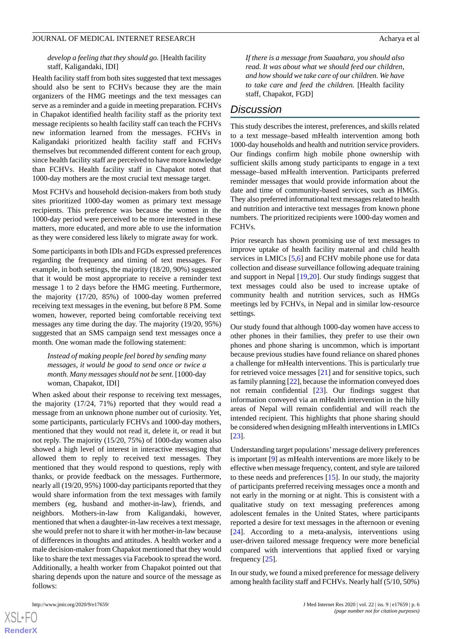#### *develop a feeling that they should go.* [Health facility staff, Kaligandaki, IDI]

Health facility staff from both sites suggested that text messages should also be sent to FCHVs because they are the main organizers of the HMG meetings and the text messages can serve as a reminder and a guide in meeting preparation. FCHVs in Chapakot identified health facility staff as the priority text message recipients so health facility staff can teach the FCHVs new information learned from the messages. FCHVs in Kaligandaki prioritized health facility staff and FCHVs themselves but recommended different content for each group, since health facility staff are perceived to have more knowledge than FCHVs. Health facility staff in Chapakot noted that 1000-day mothers are the most crucial text message target.

Most FCHVs and household decision-makers from both study sites prioritized 1000-day women as primary text message recipients. This preference was because the women in the 1000-day period were perceived to be more interested in these matters, more educated, and more able to use the information as they were considered less likely to migrate away for work.

Some participants in both IDIs and FGDs expressed preferences regarding the frequency and timing of text messages. For example, in both settings, the majority (18/20, 90%) suggested that it would be most appropriate to receive a reminder text message 1 to 2 days before the HMG meeting. Furthermore, the majority (17/20, 85%) of 1000-day women preferred receiving text messages in the evening, but before 8 PM. Some women, however, reported being comfortable receiving text messages any time during the day. The majority (19/20, 95%) suggested that an SMS campaign send text messages once a month. One woman made the following statement:

*Instead of making people feel bored by sending many messages, it would be good to send once or twice a month. Many messages should not be sent.* [1000-day woman, Chapakot, IDI]

When asked about their response to receiving text messages, the majority (17/24, 71%) reported that they would read a message from an unknown phone number out of curiosity. Yet, some participants, particularly FCHVs and 1000-day mothers, mentioned that they would not read it, delete it, or read it but not reply. The majority (15/20, 75%) of 1000-day women also showed a high level of interest in interactive messaging that allowed them to reply to received text messages. They mentioned that they would respond to questions, reply with thanks, or provide feedback on the messages. Furthermore, nearly all (19/20, 95%) 1000-day participants reported that they would share information from the text messages with family members (eg, husband and mother-in-law), friends, and neighbors. Mothers-in-law from Kaligandaki, however, mentioned that when a daughter-in-law receives a text message, she would prefer not to share it with her mother-in-law because of differences in thoughts and attitudes. A health worker and a male decision-maker from Chapakot mentioned that they would like to share the text messages via Facebook to spread the word. Additionally, a health worker from Chapakot pointed out that sharing depends upon the nature and source of the message as follows:

 $XS$  $\cdot$ FC **[RenderX](http://www.renderx.com/)** *If there is a message from Suaahara, you should also read. It was about what we should feed our children, and how should we take care of our children. We have to take care and feed the children.* [Health facility staff, Chapakot, FGD]

# *Discussion*

This study describes the interest, preferences, and skills related to a text message–based mHealth intervention among both 1000-day households and health and nutrition service providers. Our findings confirm high mobile phone ownership with sufficient skills among study participants to engage in a text message–based mHealth intervention. Participants preferred reminder messages that would provide information about the date and time of community-based services, such as HMGs. They also preferred informational text messages related to health and nutrition and interactive text messages from known phone numbers. The prioritized recipients were 1000-day women and FCHVs.

Prior research has shown promising use of text messages to improve uptake of health facility maternal and child health services in LMICs [[5,](#page-7-3)[6](#page-7-15)] and FCHV mobile phone use for data collection and disease surveillance following adequate training and support in Nepal [[19](#page-7-16)[,20](#page-7-17)]. Our study findings suggest that text messages could also be used to increase uptake of community health and nutrition services, such as HMGs meetings led by FCHVs, in Nepal and in similar low-resource settings.

Our study found that although 1000-day women have access to other phones in their families, they prefer to use their own phones and phone sharing is uncommon, which is important because previous studies have found reliance on shared phones a challenge for mHealth interventions. This is particularly true for retrieved voice messages [\[21](#page-7-18)] and for sensitive topics, such as family planning [[22](#page-7-19)], because the information conveyed does not remain confidential [[23\]](#page-7-20). Our findings suggest that information conveyed via an mHealth intervention in the hilly areas of Nepal will remain confidential and will reach the intended recipient. This highlights that phone sharing should be considered when designing mHealth interventions in LMICs [[23\]](#page-7-20).

Understanding target populations'message delivery preferences is important [\[9](#page-7-5)] as mHealth interventions are more likely to be effective when message frequency, content, and style are tailored to these needs and preferences [\[15](#page-7-11)]. In our study, the majority of participants preferred receiving messages once a month and not early in the morning or at night. This is consistent with a qualitative study on text messaging preferences among adolescent females in the United States, where participants reported a desire for text messages in the afternoon or evening [[24\]](#page-8-0). According to a meta-analysis, interventions using user-driven tailored message frequency were more beneficial compared with interventions that applied fixed or varying frequency [\[25](#page-8-1)].

In our study, we found a mixed preference for message delivery among health facility staff and FCHVs. Nearly half (5/10, 50%)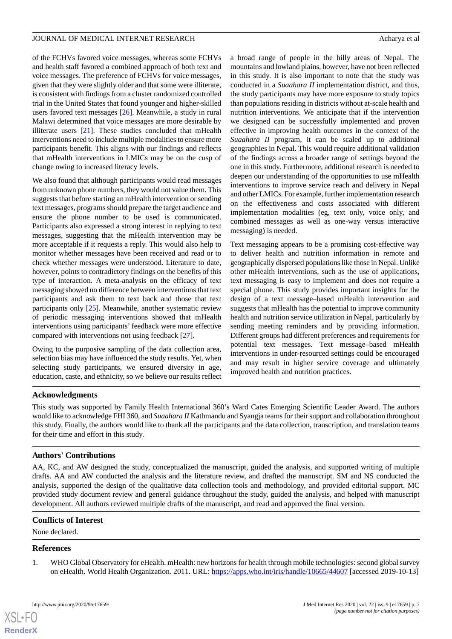of the FCHVs favored voice messages, whereas some FCHVs and health staff favored a combined approach of both text and voice messages. The preference of FCHVs for voice messages, given that they were slightly older and that some were illiterate, is consistent with findings from a cluster randomized controlled trial in the United States that found younger and higher-skilled users favored text messages [[26\]](#page-8-2). Meanwhile, a study in rural Malawi determined that voice messages are more desirable by illiterate users [\[21](#page-7-18)]. These studies concluded that mHealth interventions need to include multiple modalities to ensure more participants benefit. This aligns with our findings and reflects that mHealth interventions in LMICs may be on the cusp of change owing to increased literacy levels.

We also found that although participants would read messages from unknown phone numbers, they would not value them. This suggests that before starting an mHealth intervention or sending text messages, programs should prepare the target audience and ensure the phone number to be used is communicated. Participants also expressed a strong interest in replying to text messages, suggesting that the mHealth intervention may be more acceptable if it requests a reply. This would also help to monitor whether messages have been received and read or to check whether messages were understood. Literature to date, however, points to contradictory findings on the benefits of this type of interaction. A meta-analysis on the efficacy of text messaging showed no difference between interventions that text participants and ask them to text back and those that text participants only [[25\]](#page-8-1). Meanwhile, another systematic review of periodic messaging interventions showed that mHealth interventions using participants' feedback were more effective compared with interventions not using feedback [[27\]](#page-8-3).

Owing to the purposive sampling of the data collection area, selection bias may have influenced the study results. Yet, when selecting study participants, we ensured diversity in age, education, caste, and ethnicity, so we believe our results reflect a broad range of people in the hilly areas of Nepal. The mountains and lowland plains, however, have not been reflected in this study. It is also important to note that the study was conducted in a *Suaahara II* implementation district, and thus, the study participants may have more exposure to study topics than populations residing in districts without at-scale health and nutrition interventions. We anticipate that if the intervention we designed can be successfully implemented and proven effective in improving health outcomes in the context of the *Suaahara II* program, it can be scaled up to additional geographies in Nepal. This would require additional validation of the findings across a broader range of settings beyond the one in this study. Furthermore, additional research is needed to deepen our understanding of the opportunities to use mHealth interventions to improve service reach and delivery in Nepal and other LMICs. For example, further implementation research on the effectiveness and costs associated with different implementation modalities (eg, text only, voice only, and combined messages as well as one-way versus interactive messaging) is needed.

Text messaging appears to be a promising cost-effective way to deliver health and nutrition information in remote and geographically dispersed populations like those in Nepal. Unlike other mHealth interventions, such as the use of applications, text messaging is easy to implement and does not require a special phone. This study provides important insights for the design of a text message–based mHealth intervention and suggests that mHealth has the potential to improve community health and nutrition service utilization in Nepal, particularly by sending meeting reminders and by providing information. Different groups had different preferences and requirements for potential text messages. Text message–based mHealth interventions in under-resourced settings could be encouraged and may result in higher service coverage and ultimately improved health and nutrition practices.

# **Acknowledgments**

This study was supported by Family Health International 360's Ward Cates Emerging Scientific Leader Award. The authors would like to acknowledge FHI 360, and *Suaahara II* Kathmandu and Syangja teams for their support and collaboration throughout this study. Finally, the authors would like to thank all the participants and the data collection, transcription, and translation teams for their time and effort in this study.

# **Authors' Contributions**

AA, KC, and AW designed the study, conceptualized the manuscript, guided the analysis, and supported writing of multiple drafts. AA and AW conducted the analysis and the literature review, and drafted the manuscript. SM and NS conducted the analysis, supported the design of the qualitative data collection tools and methodology, and provided editorial support. MC provided study document review and general guidance throughout the study, guided the analysis, and helped with manuscript development. All authors reviewed multiple drafts of the manuscript, and read and approved the final version.

### <span id="page-6-0"></span>**Conflicts of Interest**

None declared.

#### **References**

 $XS$  $\cdot$ FC **[RenderX](http://www.renderx.com/)**

1. WHO Global Observatory for eHealth. mHealth: new horizons for health through mobile technologies: second global survey on eHealth. World Health Organization. 2011. URL: <https://apps.who.int/iris/handle/10665/44607> [accessed 2019-10-13]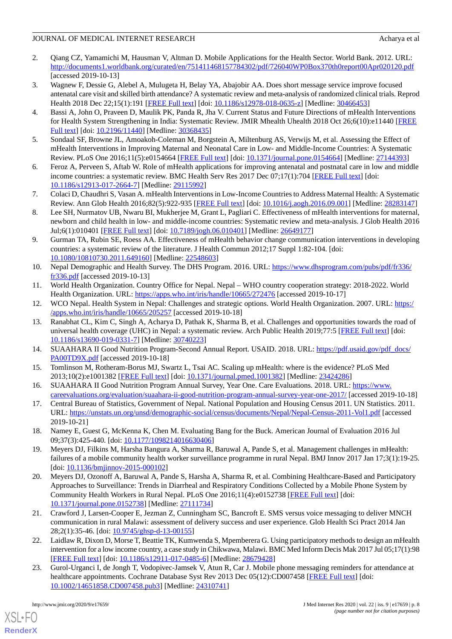- <span id="page-7-0"></span>2. Qiang CZ, Yamamichi M, Hausman V, Altman D. Mobile Applications for the Health Sector. World Bank. 2012. URL: <http://documents1.worldbank.org/curated/en/751411468157784302/pdf/726040WP0Box370th0report00Apr020120.pdf> [accessed 2019-10-13]
- <span id="page-7-1"></span>3. Wagnew F, Dessie G, Alebel A, Mulugeta H, Belay YA, Abajobir AA. Does short message service improve focused antenatal care visit and skilled birth attendance? A systematic review and meta-analysis of randomized clinical trials. Reprod Health 2018 Dec 22;15(1):191 [[FREE Full text](https://reproductive-health-journal.biomedcentral.com/articles/10.1186/s12978-018-0635-z)] [doi: [10.1186/s12978-018-0635-z](http://dx.doi.org/10.1186/s12978-018-0635-z)] [Medline: [30466453\]](http://www.ncbi.nlm.nih.gov/entrez/query.fcgi?cmd=Retrieve&db=PubMed&list_uids=30466453&dopt=Abstract)
- <span id="page-7-2"></span>4. Bassi A, John O, Praveen D, Maulik PK, Panda R, Jha V. Current Status and Future Directions of mHealth Interventions for Health System Strengthening in India: Systematic Review. JMIR Mhealth Uhealth 2018 Oct 26;6(10):e11440 [\[FREE](https://mhealth.jmir.org/2018/10/e11440/) [Full text\]](https://mhealth.jmir.org/2018/10/e11440/) [doi: [10.2196/11440\]](http://dx.doi.org/10.2196/11440) [Medline: [30368435](http://www.ncbi.nlm.nih.gov/entrez/query.fcgi?cmd=Retrieve&db=PubMed&list_uids=30368435&dopt=Abstract)]
- <span id="page-7-15"></span><span id="page-7-3"></span>5. Sondaal SF, Browne JL, Amoakoh-Coleman M, Borgstein A, Miltenburg AS, Verwijs M, et al. Assessing the Effect of mHealth Interventions in Improving Maternal and Neonatal Care in Low- and Middle-Income Countries: A Systematic Review. PLoS One 2016;11(5):e0154664 [\[FREE Full text\]](https://dx.plos.org/10.1371/journal.pone.0154664) [doi: [10.1371/journal.pone.0154664\]](http://dx.doi.org/10.1371/journal.pone.0154664) [Medline: [27144393\]](http://www.ncbi.nlm.nih.gov/entrez/query.fcgi?cmd=Retrieve&db=PubMed&list_uids=27144393&dopt=Abstract)
- 6. Feroz A, Perveen S, Aftab W. Role of mHealth applications for improving antenatal and postnatal care in low and middle income countries: a systematic review. BMC Health Serv Res 2017 Dec 07;17(1):704 [\[FREE Full text\]](https://bmchealthservres.biomedcentral.com/articles/10.1186/s12913-017-2664-7) [doi: [10.1186/s12913-017-2664-7\]](http://dx.doi.org/10.1186/s12913-017-2664-7) [Medline: [29115992](http://www.ncbi.nlm.nih.gov/entrez/query.fcgi?cmd=Retrieve&db=PubMed&list_uids=29115992&dopt=Abstract)]
- <span id="page-7-4"></span>7. Colaci D, Chaudhri S, Vasan A. mHealth Interventions in Low-Income Countries to Address Maternal Health: A Systematic Review. Ann Glob Health 2016;82(5):922-935 [[FREE Full text](https://annalsofglobalhealth.org/articles/10.1016/j.aogh.2016.09.001/)] [doi: [10.1016/j.aogh.2016.09.001\]](http://dx.doi.org/10.1016/j.aogh.2016.09.001) [Medline: [28283147\]](http://www.ncbi.nlm.nih.gov/entrez/query.fcgi?cmd=Retrieve&db=PubMed&list_uids=28283147&dopt=Abstract)
- <span id="page-7-5"></span>8. Lee SH, Nurmatov UB, Nwaru BI, Mukherjee M, Grant L, Pagliari C. Effectiveness of mHealth interventions for maternal, newborn and child health in low- and middle-income countries: Systematic review and meta-analysis. J Glob Health 2016 Jul;6(1):010401 [\[FREE Full text\]](https://doi.org/10.7189/jogh.06.010401) [doi: [10.7189/jogh.06.010401\]](http://dx.doi.org/10.7189/jogh.06.010401) [Medline: [26649177\]](http://www.ncbi.nlm.nih.gov/entrez/query.fcgi?cmd=Retrieve&db=PubMed&list_uids=26649177&dopt=Abstract)
- <span id="page-7-6"></span>9. Gurman TA, Rubin SE, Roess AA. Effectiveness of mHealth behavior change communication interventions in developing countries: a systematic review of the literature. J Health Commun 2012;17 Suppl 1:82-104. [doi: [10.1080/10810730.2011.649160\]](http://dx.doi.org/10.1080/10810730.2011.649160) [Medline: [22548603\]](http://www.ncbi.nlm.nih.gov/entrez/query.fcgi?cmd=Retrieve&db=PubMed&list_uids=22548603&dopt=Abstract)
- <span id="page-7-8"></span><span id="page-7-7"></span>10. Nepal Demographic and Health Survey. The DHS Program. 2016. URL: [https://www.dhsprogram.com/pubs/pdf/fr336/](https://www.dhsprogram.com/pubs/pdf/fr336/fr336.pdf) [fr336.pdf](https://www.dhsprogram.com/pubs/pdf/fr336/fr336.pdf) [accessed 2019-10-13]
- <span id="page-7-9"></span>11. World Health Organization. Country Office for Nepal. Nepal – WHO country cooperation strategy: 2018-2022. World Health Organization. URL: <https://apps.who.int/iris/handle/10665/272476> [accessed 2019-10-17]
- 12. WCO Nepal. Health System in Nepal: Challenges and strategic options. World Health Organization. 2007. URL: [https:/](https://apps.who.int/iris/handle/10665/205257) [/apps.who.int/iris/handle/10665/205257](https://apps.who.int/iris/handle/10665/205257) [accessed 2019-10-18]
- <span id="page-7-11"></span><span id="page-7-10"></span>13. Ranabhat CL, Kim C, Singh A, Acharya D, Pathak K, Sharma B, et al. Challenges and opportunities towards the road of universal health coverage (UHC) in Nepal: a systematic review. Arch Public Health 2019;77:5 [\[FREE Full text\]](https://archpublichealth.biomedcentral.com/articles/10.1186/s13690-019-0331-7) [doi: [10.1186/s13690-019-0331-7\]](http://dx.doi.org/10.1186/s13690-019-0331-7) [Medline: [30740223](http://www.ncbi.nlm.nih.gov/entrez/query.fcgi?cmd=Retrieve&db=PubMed&list_uids=30740223&dopt=Abstract)]
- <span id="page-7-12"></span>14. SUAAHARA II Good Nutrition Program-Second Annual Report. USAID. 2018. URL: [https://pdf.usaid.gov/pdf\\_docs/](https://pdf.usaid.gov/pdf_docs/PA00TD9X.pdf) [PA00TD9X.pdf](https://pdf.usaid.gov/pdf_docs/PA00TD9X.pdf) [accessed 2019-10-18]
- <span id="page-7-13"></span>15. Tomlinson M, Rotheram-Borus MJ, Swartz L, Tsai AC. Scaling up mHealth: where is the evidence? PLoS Med 2013;10(2):e1001382 [\[FREE Full text](https://dx.plos.org/10.1371/journal.pmed.1001382)] [doi: [10.1371/journal.pmed.1001382](http://dx.doi.org/10.1371/journal.pmed.1001382)] [Medline: [23424286](http://www.ncbi.nlm.nih.gov/entrez/query.fcgi?cmd=Retrieve&db=PubMed&list_uids=23424286&dopt=Abstract)]
- <span id="page-7-14"></span>16. SUAAHARA II Good Nutrition Program Annual Survey, Year One. Care Evaluations. 2018. URL: [https://www.](https://www.careevaluations.org/evaluation/suaahara-ii-good-nutrition-program-annual-survey-year-one-2017/) [careevaluations.org/evaluation/suaahara-ii-good-nutrition-program-annual-survey-year-one-2017/](https://www.careevaluations.org/evaluation/suaahara-ii-good-nutrition-program-annual-survey-year-one-2017/) [accessed 2019-10-18]
- <span id="page-7-16"></span>17. Central Bureau of Statistics, Government of Nepal. National Population and Housing Census 2011. UN Statistics. 2011. URL: <https://unstats.un.org/unsd/demographic-social/census/documents/Nepal/Nepal-Census-2011-Vol1.pdf> [accessed 2019-10-21]
- <span id="page-7-17"></span>18. Namey E, Guest G, McKenna K, Chen M. Evaluating Bang for the Buck. American Journal of Evaluation 2016 Jul 09;37(3):425-440. [doi: [10.1177/1098214016630406\]](http://dx.doi.org/10.1177/1098214016630406)
- <span id="page-7-18"></span>19. Meyers DJ, Filkins M, Harsha Bangura A, Sharma R, Baruwal A, Pande S, et al. Management challenges in mHealth: failures of a mobile community health worker surveillance programme in rural Nepal. BMJ Innov 2017 Jan 17;3(1):19-25. [doi: [10.1136/bmjinnov-2015-000102](http://dx.doi.org/10.1136/bmjinnov-2015-000102)]
- <span id="page-7-19"></span>20. Meyers DJ, Ozonoff A, Baruwal A, Pande S, Harsha A, Sharma R, et al. Combining Healthcare-Based and Participatory Approaches to Surveillance: Trends in Diarrheal and Respiratory Conditions Collected by a Mobile Phone System by Community Health Workers in Rural Nepal. PLoS One 2016;11(4):e0152738 [\[FREE Full text\]](https://dx.plos.org/10.1371/journal.pone.0152738) [doi: [10.1371/journal.pone.0152738\]](http://dx.doi.org/10.1371/journal.pone.0152738) [Medline: [27111734](http://www.ncbi.nlm.nih.gov/entrez/query.fcgi?cmd=Retrieve&db=PubMed&list_uids=27111734&dopt=Abstract)]
- <span id="page-7-20"></span>21. Crawford J, Larsen-Cooper E, Jezman Z, Cunningham SC, Bancroft E. SMS versus voice messaging to deliver MNCH communication in rural Malawi: assessment of delivery success and user experience. Glob Health Sci Pract 2014 Jan 28;2(1):35-46. [doi: [10.9745/ghsp-d-13-00155\]](http://dx.doi.org/10.9745/ghsp-d-13-00155)
- 22. Laidlaw R, Dixon D, Morse T, Beattie TK, Kumwenda S, Mpemberera G. Using participatory methods to design an mHealth intervention for a low income country, a case study in Chikwawa, Malawi. BMC Med Inform Decis Mak 2017 Jul 05;17(1):98 [[FREE Full text](https://bmcmedinformdecismak.biomedcentral.com/articles/10.1186/s12911-017-0485-6)] [doi: [10.1186/s12911-017-0485-6\]](http://dx.doi.org/10.1186/s12911-017-0485-6) [Medline: [28679428](http://www.ncbi.nlm.nih.gov/entrez/query.fcgi?cmd=Retrieve&db=PubMed&list_uids=28679428&dopt=Abstract)]
- 23. Gurol-Urganci I, de Jongh T, Vodopivec-Jamsek V, Atun R, Car J. Mobile phone messaging reminders for attendance at healthcare appointments. Cochrane Database Syst Rev 2013 Dec 05(12):CD007458 [\[FREE Full text\]](http://europepmc.org/abstract/MED/24310741) [doi: [10.1002/14651858.CD007458.pub3\]](http://dx.doi.org/10.1002/14651858.CD007458.pub3) [Medline: [24310741](http://www.ncbi.nlm.nih.gov/entrez/query.fcgi?cmd=Retrieve&db=PubMed&list_uids=24310741&dopt=Abstract)]

[XSL](http://www.w3.org/Style/XSL)•FO **[RenderX](http://www.renderx.com/)**